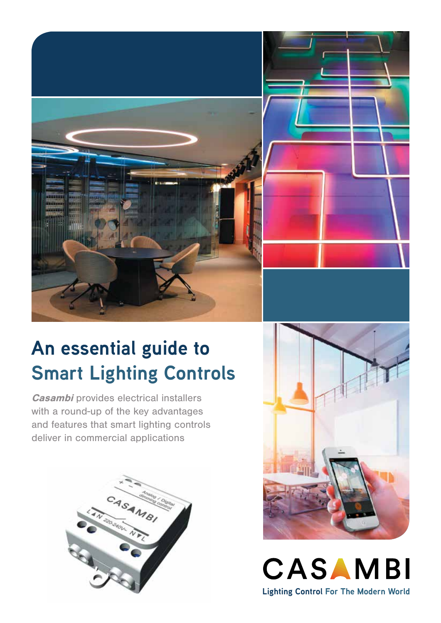

### **An essential guide to Smart Lighting Controls**

**Casambi** provides electrical installers with a round-up of the key advantages and features that smart lighting controls deliver in commercial applications





CASAMBI **Lighting Control For The Modern World**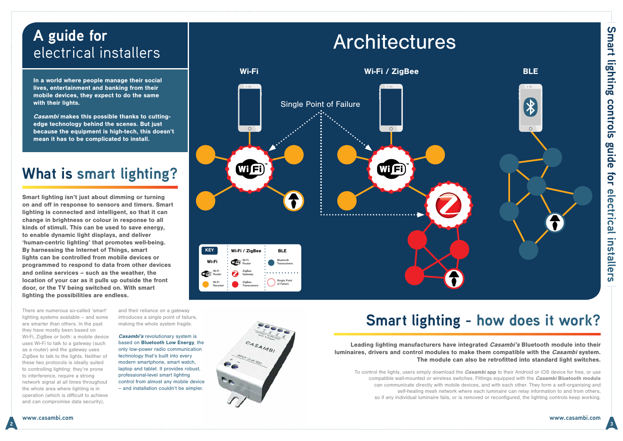Smart lighting isn't just about dimming or turning on and off in response to sensors and timers. Smart lighting is connected and intelligent, so that it can change in brightness or colour in response to all kinds of stimuli. This can be used to save energy, to enable dynamic light displays, and deliver 'human-centric lighting' that promotes well-being. By harnessing the Internet of Things, smart lights can be controlled from mobile devices or programmed to respond to data from other devices and online services – such as the weather, the location of your car as it pulls up outside the front door, or the TV being switched on. With smart lighting the possibilities are endless.

> Leading lighting manufacturers have integrated *Casambi's* Bluetooth module into their The module can also be retrofitted into standard light switches.

### **Smart lighting - how does it work?**

### luminaires, drivers and control modules to make them compatible with the *Casambi* system.

To control the lights, users simply download the *Casambi* app to their Android or iOS device for free, or use compatible wall-mounted or wireless switches. Fittings equipped with the *Casambi* Bluetooth module can communicate directly with mobile devices, and with each other. They form a self-organising and self-healing mesh network where each luminaire can relay information to and from others, so if any individual luminaire fails, or is removed or reconfigured, the lighting controls keep working.

# **Smart lighting controls guide for electrical installers** controls guide for electrical installers

**Smart lighting** 

In a world where people manage their social lives, entertainment and banking from their mobile devices, they expect to do the same with their lights.

### **What is smart lighting?**

**Casambi's revolutionary system is** based on Bluetooth Low Energy, the only low-power radio communication technology that's built into every modern smartphone, smart watch, laptop and tablet. It provides robust, professional-level smart lighting control from almost any mobile device – and installation couldn't be simpler.



Casambi makes this possible thanks to cuttingedge technology behind the scenes. But just because the equipment is high-tech, this doesn't mean it has to be complicated to install.

### **A guide for**  electrical installers



There are numerous so-called 'smart' lighting systems available – and some are smarter than others. In the past they have mostly been based on Wi-Fi, ZigBee or both: a mobile device uses Wi-Fi to talk to a gateway (such as a router) and the gateway uses ZigBee to talk to the lights. Neither of these two protocols is ideally suited to controlling lighting: they're prone to interference, require a strong network signal at all times throughout the whole area where lighting is in operation (which is difficult to achieve and can compromise data security),

and their reliance on a gateway introduces a single point of failure, making the whole system fragile.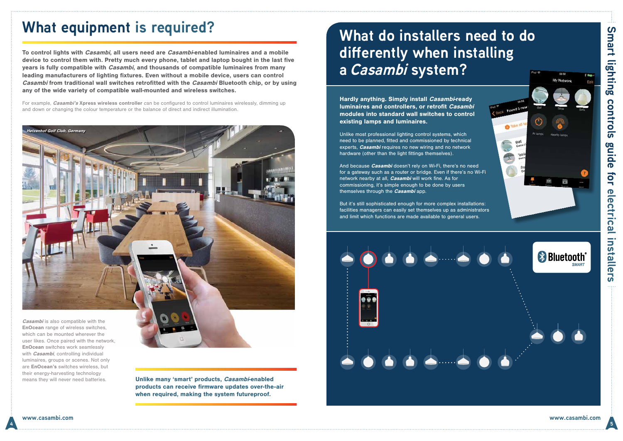Hardly anything. Simply install Casambi-ready luminaires and controllers, or retrofit Casambi modules into standard wall switches to control existing lamps and luminaires.

Unlike most professional lighting control systems, which need to be planned, fitted and commissioned by technical experts, *Casambi* requires no new wiring and no network hardware (other than the light fittings themselves).

And because *Casambi* doesn't rely on Wi-Fi, there's no need for a gateway such as a router or bridge. Even if there's no Wi-Fi network nearby at all. *Casambi* will work fine. As for commissioning, it's simple enough to be done by users themselves through the **Casambi** app.

To control lights with *Casambi*, all users need are *Casambi*-enabled luminaires and a mobile device to control them with. Pretty much every phone, tablet and laptop bought in the last five years is fully compatible with *Casambi*, and thousands of compatible luminaires from many leading manufacturers of lighting fixtures. Even without a mobile device, users can control Casambi from traditional wall switches retrofitted with the Casambi Bluetooth chip, or by using any of the wide variety of compatible wall-mounted and wireless switches.

> But it's still sophisticated enough for more complex installations: facilities managers can easily set themselves up as administrators and limit which functions are made available to general users.





### **What do installers need to do differently when installing a Casambi system?**

means they will never need batteries. **Unlike many 'smart' products, Casambi-enabled** products can receive firmware updates over-the-air when required, making the system futureproof.

For example, Casambi's Xpress wireless controller *c*an be configured to control luminaires wirelessly, dimming up and down or changing the colour temperature or the balance of direct and indirect illumination.

### **What equipment is required?**

EnOcean range of wireless switches, which can be mounted wherever the user likes. Once paired with the network, EnOcean switches work seamlessly with *Casambi*, controlling individual luminaires, groups or scenes. Not only are **EnOcean's** switches wireless, but their energy-harvesting technology

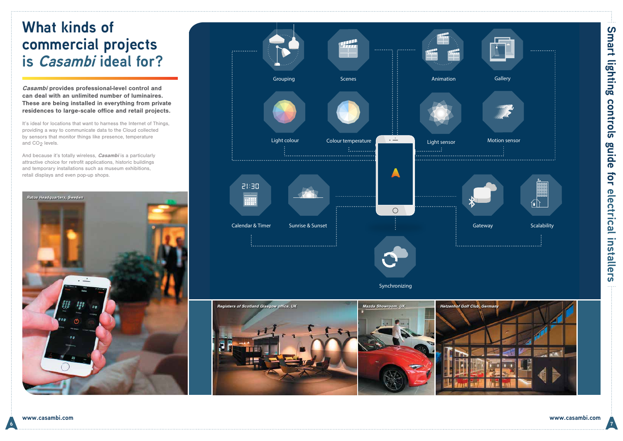**6 7**



Casambi provides professional-level control and can deal with an unlimited number of luminaires. These are being installed in everything from private residences to large-scale office and retail projects.

It's ideal for locations that want to harness the Internet of Things, providing a way to communicate data to the Cloud collected by sensors that monitor things like presence, temperature and CO<sub>2</sub> levels.

And because it's totally wireless, **Casambi** is a particularly attractive choice for retrofit applications, historic buildings and temporary installations such as museum exhibitions, retail displays and even pop-up shops.

## Smart lighting **Smart lighting controls guide for electrical installers** controls guide for electrical installers  $\sim 100$

### **What kinds of commercial projects is Casambi ideal for?**